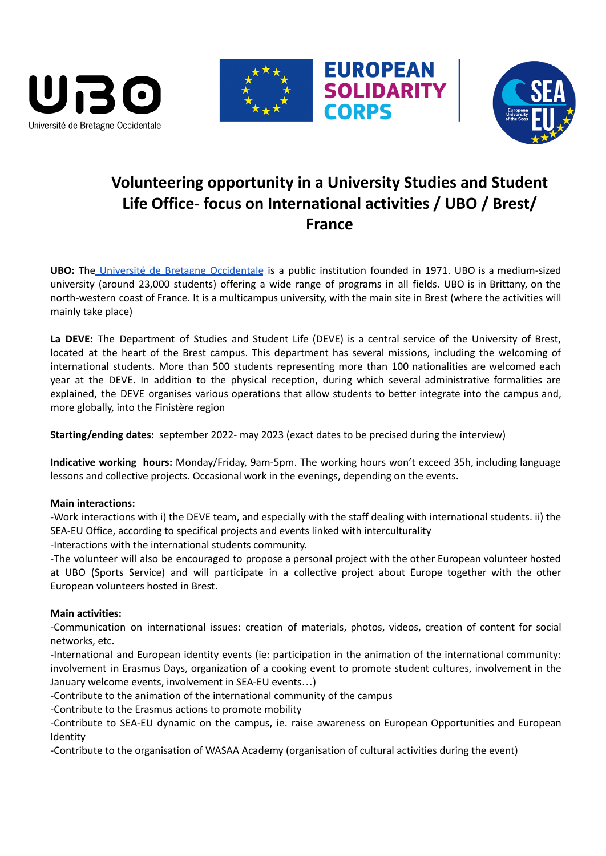





# **Volunteering opportunity in a University Studies and Student Life Office- focus on International activities / UBO / Brest/ France**

**EUROPEAN**<br>SOLIDARITY

**CORPS** 

**UBO:** The Université de Bretagne [Occidentale](https://www.univ-brest.fr/GB/menu/About-us/About-the-university) is a public institution founded in 1971. UBO is a medium-sized university (around 23,000 students) offering a wide range of programs in all fields. UBO is in Brittany, on the north-western coast of France. It is a multicampus university, with the main site in Brest (where the activities will mainly take place)

**La DEVE:** The Department of Studies and Student Life (DEVE) is a central service of the University of Brest, located at the heart of the Brest campus. This department has several missions, including the welcoming of international students. More than 500 students representing more than 100 nationalities are welcomed each year at the DEVE. In addition to the physical reception, during which several administrative formalities are explained, the DEVE organises various operations that allow students to better integrate into the campus and, more globally, into the Finistère region

**Starting/ending dates:** september 2022- may 2023 (exact dates to be precised during the interview)

**Indicative working hours:** Monday/Friday, 9am-5pm. The working hours won't exceed 35h, including language lessons and collective projects. Occasional work in the evenings, depending on the events.

# **Main interactions:**

**-**Work interactions with i) the DEVE team, and especially with the staff dealing with international students. ii) the SEA-EU Office, according to specifical projects and events linked with interculturality

-Interactions with the international students community.

-The volunteer will also be encouraged to propose a personal project with the other European volunteer hosted at UBO (Sports Service) and will participate in a collective project about Europe together with the other European volunteers hosted in Brest.

# **Main activities:**

-Communication on international issues: creation of materials, photos, videos, creation of content for social networks, etc.

-International and European identity events (ie: participation in the animation of the international community: involvement in Erasmus Days, organization of a cooking event to promote student cultures, involvement in the January welcome events, involvement in SEA-EU events…)

-Contribute to the animation of the international community of the campus

-Contribute to the Erasmus actions to promote mobility

-Contribute to SEA-EU dynamic on the campus, ie. raise awareness on European Opportunities and European Identity

-Contribute to the organisation of WASAA Academy (organisation of cultural activities during the event)